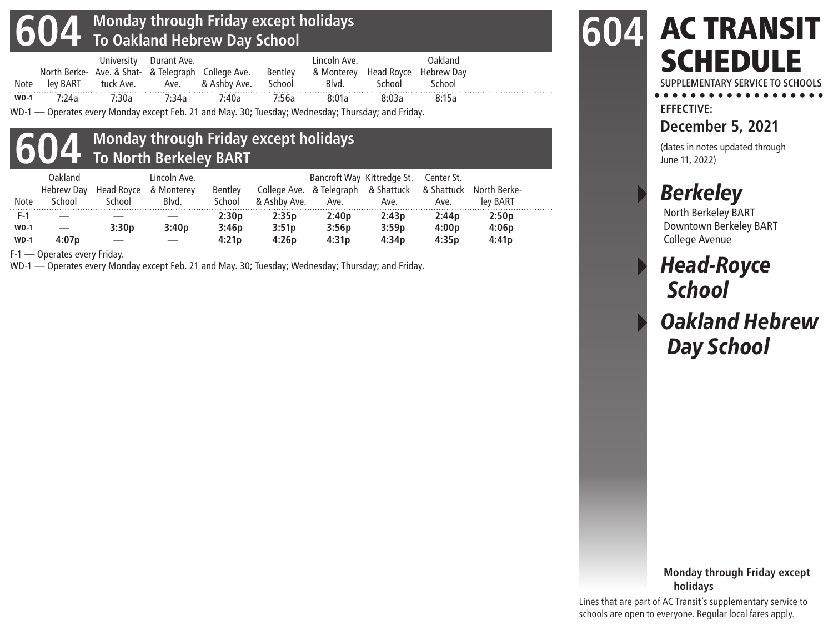# **604 Monday through Friday except holidays To Oakland Hebrew Day School**

|        |       |       | University Durant Ave. |                                                                                             |       | Lincoln Ave. |        | Oakland |  |
|--------|-------|-------|------------------------|---------------------------------------------------------------------------------------------|-------|--------------|--------|---------|--|
|        |       |       |                        | North Berke- Ave. & Shat- & Telegraph College Ave. Bentley & Monterey Head Royce Hebrew Day |       |              |        |         |  |
|        |       |       |                        | Note ley BART tuck Ave. Ave. & Ashby Ave. School                                            |       | Blvd.        | School | School  |  |
| $WD-1$ | 7.24a | 7.30a | 7.34a                  | 7:40a                                                                                       | 7:56a | 8:01a        | 8.03a  | 8:15a   |  |

WD-1 — Operates every Monday except Feb. 21 and May. 30; Tuesday; Wednesday; Thursday; and Friday.

#### **604 Monday through Friday except holidays To North Berkeley BART**

| F-1<br>2:30p<br>2:35p<br>2:40p<br>2:43p<br>2:44p<br>2:50p<br>3:46p<br>4:00p<br>3:30p<br>3:56p<br>3:59p<br>4:06p<br>3:40p<br>3:51p<br>$WD-1$ | <b>Note</b> | Oakland<br>Hebrew Day<br>School | Head Royce<br>School | Lincoln Ave.<br>& Monterey<br>Blvd. | <b>Bentley</b><br>School | & Ashby Ave. | Ave. | Bancroft Way Kittredge St.<br>College Ave. & Telegraph & Shattuck<br>Ave. | Center St.<br>Ave. | & Shattuck North Berke-<br>lev BART |  |
|---------------------------------------------------------------------------------------------------------------------------------------------|-------------|---------------------------------|----------------------|-------------------------------------|--------------------------|--------------|------|---------------------------------------------------------------------------|--------------------|-------------------------------------|--|
| 4:07p<br>4:31p<br>4:26p<br>4:34p<br>4:41p<br>4:35p<br>4:21p<br>$WD-1$                                                                       |             |                                 |                      |                                     |                          |              |      |                                                                           |                    |                                     |  |

F-1 — Operates every Friday.

WD-1 — Operates every Monday except Feb. 21 and May. 30; Tuesday; Wednesday; Thursday; and Friday.

#### AC TRANSIT **SCHEDULE 604**

SUPPLEMENTARY SERVICE TO SCHOOLS

**EFFECTIVE:**

**December 5, 2021**

(dates in notes updated through June 11, 2022)

# **Berkeley**

North Berkeley BART Downtown Berkeley BART College Avenue

## **Head-Royce School**

## **Oakland Hebrew** Day School

#### **Monday through Friday except holidays**

Lines that are part of AC Transit's supplementary service to schools are open to everyone. Regular local fares apply.